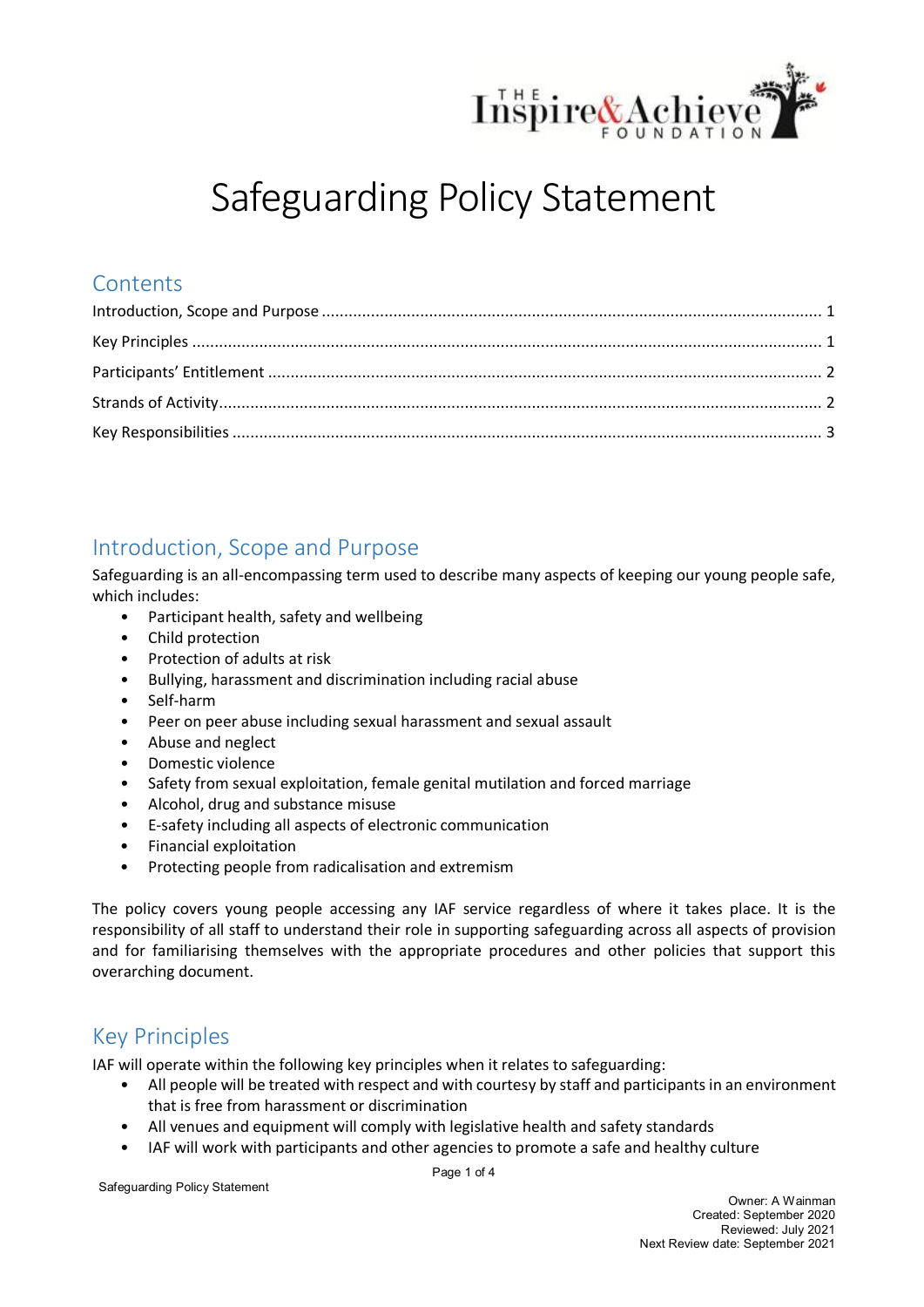

# Safeguarding Policy Statement

## **Contents**

## <span id="page-0-0"></span>Introduction, Scope and Purpose

Safeguarding is an all-encompassing term used to describe many aspects of keeping our young people safe, which includes:

- Participant health, safety and wellbeing
- Child protection
- Protection of adults at risk
- Bullying, harassment and discrimination including racial abuse
- Self-harm
- Peer on peer abuse including sexual harassment and sexual assault
- Abuse and neglect
- Domestic violence
- Safety from sexual exploitation, female genital mutilation and forced marriage
- Alcohol, drug and substance misuse
- E-safety including all aspects of electronic communication
- Financial exploitation
- Protecting people from radicalisation and extremism

The policy covers young people accessing any IAF service regardless of where it takes place. It is the responsibility of all staff to understand their role in supporting safeguarding across all aspects of provision and for familiarising themselves with the appropriate procedures and other policies that support this overarching document.

# <span id="page-0-1"></span>Key Principles

IAF will operate within the following key principles when it relates to safeguarding:

- All people will be treated with respect and with courtesy by staff and participants in an environment that is free from harassment or discrimination
- All venues and equipment will comply with legislative health and safety standards
- IAF will work with participants and other agencies to promote a safe and healthy culture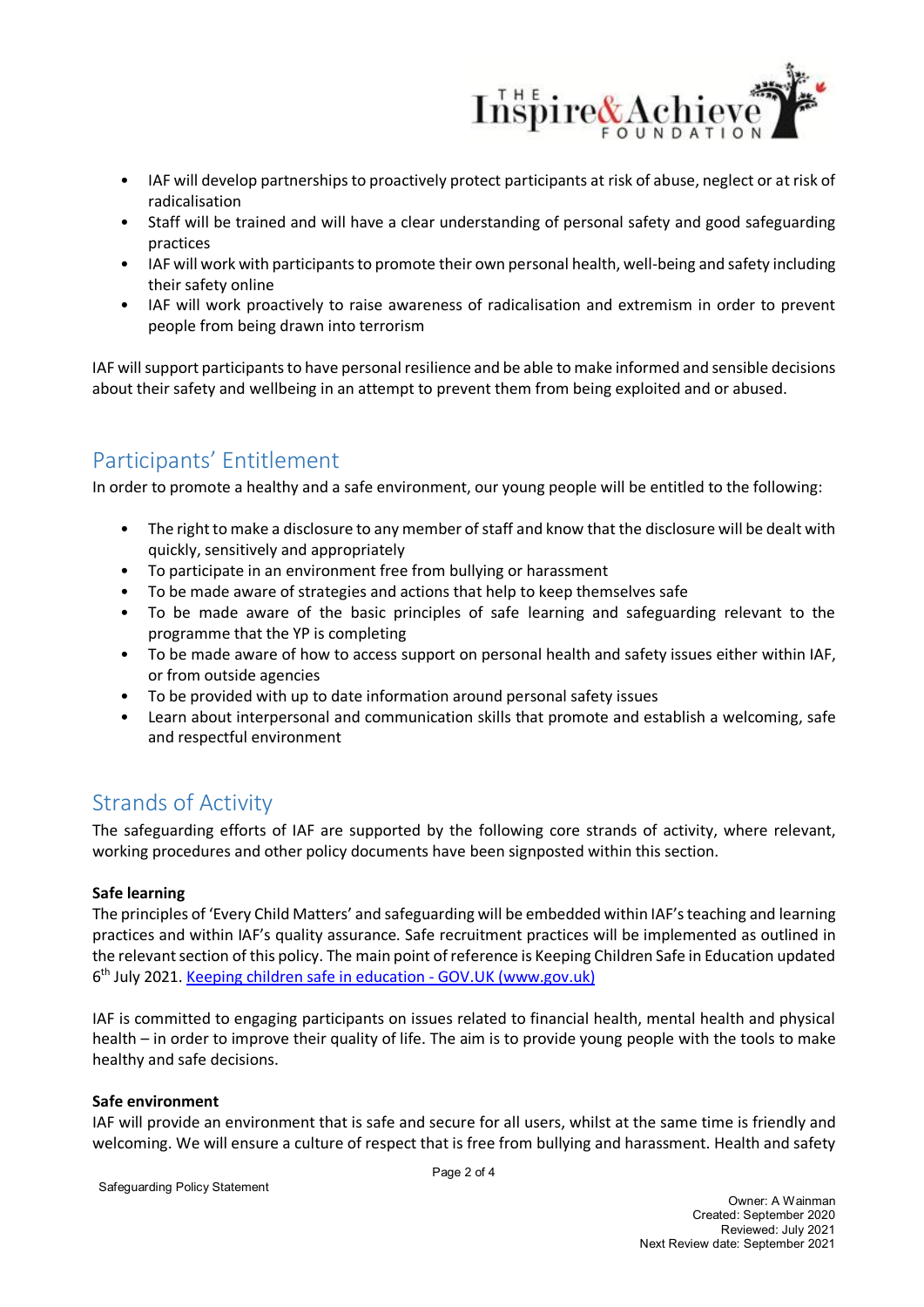

- IAF will develop partnerships to proactively protect participants at risk of abuse, neglect or at risk of radicalisation
- Staff will be trained and will have a clear understanding of personal safety and good safeguarding practices
- IAF will work with participants to promote their own personal health, well-being and safety including their safety online
- IAF will work proactively to raise awareness of radicalisation and extremism in order to prevent people from being drawn into terrorism

IAF will support participants to have personal resilience and be able to make informed and sensible decisions about their safety and wellbeing in an attempt to prevent them from being exploited and or abused.

# <span id="page-1-0"></span>Participants' Entitlement

In order to promote a healthy and a safe environment, our young people will be entitled to the following:

- The right to make a disclosure to any member of staff and know that the disclosure will be dealt with quickly, sensitively and appropriately
- To participate in an environment free from bullying or harassment
- To be made aware of strategies and actions that help to keep themselves safe
- To be made aware of the basic principles of safe learning and safeguarding relevant to the programme that the YP is completing
- To be made aware of how to access support on personal health and safety issues either within IAF, or from outside agencies
- To be provided with up to date information around personal safety issues
- Learn about interpersonal and communication skills that promote and establish a welcoming, safe and respectful environment

# <span id="page-1-1"></span>Strands of Activity

The safeguarding efforts of IAF are supported by the following core strands of activity, where relevant, working procedures and other policy documents have been signposted within this section.

#### **Safe learning**

The principles of 'Every Child Matters' and safeguarding will be embedded within IAF'steaching and learning practices and within IAF's quality assurance. Safe recruitment practices will be implemented as outlined in the relevant section of this policy. The main point of reference is Keeping Children Safe in Education updated 6th July 2021. [Keeping children safe in education -](https://www.gov.uk/government/publications/keeping-children-safe-in-education--2) GOV.UK (www.gov.uk)

IAF is committed to engaging participants on issues related to financial health, mental health and physical health – in order to improve their quality of life. The aim is to provide young people with the tools to make healthy and safe decisions.

#### **Safe environment**

IAF will provide an environment that is safe and secure for all users, whilst at the same time is friendly and welcoming. We will ensure a culture of respect that is free from bullying and harassment. Health and safety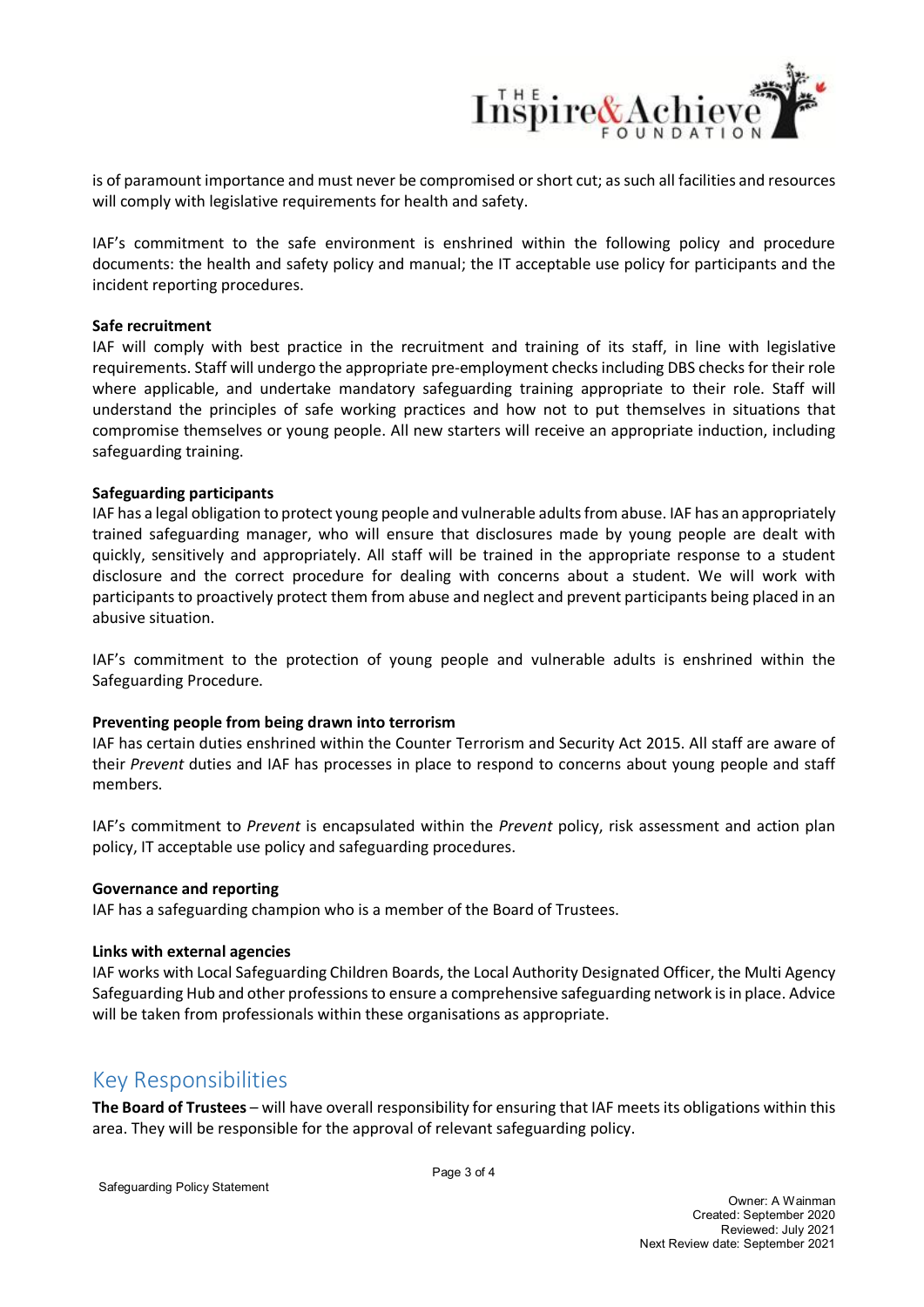

is of paramount importance and must never be compromised or short cut; as such all facilities and resources will comply with legislative requirements for health and safety.

IAF's commitment to the safe environment is enshrined within the following policy and procedure documents: the health and safety policy and manual; the IT acceptable use policy for participants and the incident reporting procedures.

#### **Safe recruitment**

IAF will comply with best practice in the recruitment and training of its staff, in line with legislative requirements. Staff will undergo the appropriate pre-employment checks including DBS checks for their role where applicable, and undertake mandatory safeguarding training appropriate to their role. Staff will understand the principles of safe working practices and how not to put themselves in situations that compromise themselves or young people. All new starters will receive an appropriate induction, including safeguarding training.

#### **Safeguarding participants**

IAF has a legal obligation to protect young people and vulnerable adults from abuse. IAF has an appropriately trained safeguarding manager, who will ensure that disclosures made by young people are dealt with quickly, sensitively and appropriately. All staff will be trained in the appropriate response to a student disclosure and the correct procedure for dealing with concerns about a student. We will work with participants to proactively protect them from abuse and neglect and prevent participants being placed in an abusive situation.

IAF's commitment to the protection of young people and vulnerable adults is enshrined within the Safeguarding Procedure.

#### **Preventing people from being drawn into terrorism**

IAF has certain duties enshrined within the Counter Terrorism and Security Act 2015. All staff are aware of their *Prevent* duties and IAF has processes in place to respond to concerns about young people and staff members.

IAF's commitment to *Prevent* is encapsulated within the *Prevent* policy, risk assessment and action plan policy, IT acceptable use policy and safeguarding procedures.

#### **Governance and reporting**

IAF has a safeguarding champion who is a member of the Board of Trustees.

#### **Links with external agencies**

IAF works with Local Safeguarding Children Boards, the Local Authority Designated Officer, the Multi Agency Safeguarding Hub and other professions to ensure a comprehensive safeguarding network is in place. Advice will be taken from professionals within these organisations as appropriate.

### <span id="page-2-0"></span>Key Responsibilities

**The Board of Trustees** – will have overall responsibility for ensuring that IAF meets its obligations within this area. They will be responsible for the approval of relevant safeguarding policy.